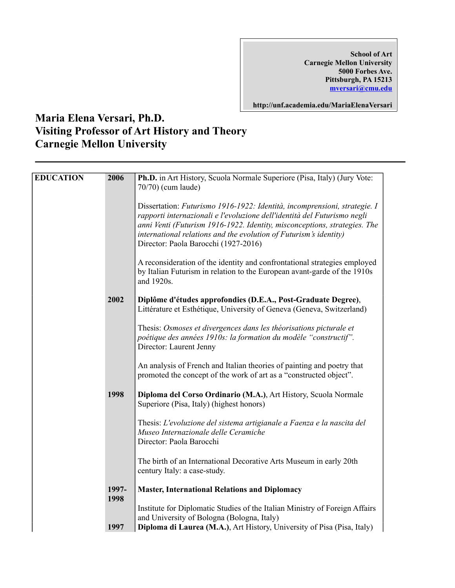**School of Art Carnegie Mellon University 5000 Forbes Ave. Pittsburgh, PA 15213 mversari@cmu.edu**

**http://unf.academia.edu/MariaElenaVersari**

## **Maria Elena Versari, Ph.D. Visiting Professor of Art History and Theory Carnegie Mellon University**

| Dissertation: Futurismo 1916-1922: Identità, incomprensioni, strategie. I<br>rapporti internazionali e l'evoluzione dell'identità del Futurismo negli<br>anni Venti (Futurism 1916-1922. Identity, misconceptions, strategies. The<br>international relations and the evolution of Futurism's identity)<br>Director: Paola Barocchi (1927-2016)<br>A reconsideration of the identity and confrontational strategies employed<br>by Italian Futurism in relation to the European avant-garde of the 1910s<br>and 1920s.<br>2002<br>Diplôme d'études approfondies (D.E.A., Post-Graduate Degree),<br>Littérature et Esthétique, University of Geneva (Geneva, Switzerland)<br>Thesis: Osmoses et divergences dans les théorisations picturale et<br>poétique des années 1910s: la formation du modèle "constructif".<br>Director: Laurent Jenny<br>An analysis of French and Italian theories of painting and poetry that<br>promoted the concept of the work of art as a "constructed object".<br>1998<br>Diploma del Corso Ordinario (M.A.), Art History, Scuola Normale<br>Superiore (Pisa, Italy) (highest honors)<br>Thesis: L'evoluzione del sistema artigianale a Faenza e la nascita del<br>Museo Internazionale delle Ceramiche<br>Director: Paola Barocchi | <b>EDUCATION</b> | 2006 | Ph.D. in Art History, Scuola Normale Superiore (Pisa, Italy) (Jury Vote:<br>70/70) (cum laude) |
|--------------------------------------------------------------------------------------------------------------------------------------------------------------------------------------------------------------------------------------------------------------------------------------------------------------------------------------------------------------------------------------------------------------------------------------------------------------------------------------------------------------------------------------------------------------------------------------------------------------------------------------------------------------------------------------------------------------------------------------------------------------------------------------------------------------------------------------------------------------------------------------------------------------------------------------------------------------------------------------------------------------------------------------------------------------------------------------------------------------------------------------------------------------------------------------------------------------------------------------------------------------------|------------------|------|------------------------------------------------------------------------------------------------|
|                                                                                                                                                                                                                                                                                                                                                                                                                                                                                                                                                                                                                                                                                                                                                                                                                                                                                                                                                                                                                                                                                                                                                                                                                                                                    |                  |      |                                                                                                |
|                                                                                                                                                                                                                                                                                                                                                                                                                                                                                                                                                                                                                                                                                                                                                                                                                                                                                                                                                                                                                                                                                                                                                                                                                                                                    |                  |      |                                                                                                |
|                                                                                                                                                                                                                                                                                                                                                                                                                                                                                                                                                                                                                                                                                                                                                                                                                                                                                                                                                                                                                                                                                                                                                                                                                                                                    |                  |      |                                                                                                |
|                                                                                                                                                                                                                                                                                                                                                                                                                                                                                                                                                                                                                                                                                                                                                                                                                                                                                                                                                                                                                                                                                                                                                                                                                                                                    |                  |      |                                                                                                |
|                                                                                                                                                                                                                                                                                                                                                                                                                                                                                                                                                                                                                                                                                                                                                                                                                                                                                                                                                                                                                                                                                                                                                                                                                                                                    |                  |      |                                                                                                |
|                                                                                                                                                                                                                                                                                                                                                                                                                                                                                                                                                                                                                                                                                                                                                                                                                                                                                                                                                                                                                                                                                                                                                                                                                                                                    |                  |      |                                                                                                |
|                                                                                                                                                                                                                                                                                                                                                                                                                                                                                                                                                                                                                                                                                                                                                                                                                                                                                                                                                                                                                                                                                                                                                                                                                                                                    |                  |      |                                                                                                |
| The birth of an International Decorative Arts Museum in early 20th<br>century Italy: a case-study.                                                                                                                                                                                                                                                                                                                                                                                                                                                                                                                                                                                                                                                                                                                                                                                                                                                                                                                                                                                                                                                                                                                                                                 |                  |      |                                                                                                |
| 1997-<br><b>Master, International Relations and Diplomacy</b>                                                                                                                                                                                                                                                                                                                                                                                                                                                                                                                                                                                                                                                                                                                                                                                                                                                                                                                                                                                                                                                                                                                                                                                                      |                  |      |                                                                                                |
| 1998<br>Institute for Diplomatic Studies of the Italian Ministry of Foreign Affairs<br>and University of Bologna (Bologna, Italy)<br>Diploma di Laurea (M.A.), Art History, University of Pisa (Pisa, Italy)<br>1997                                                                                                                                                                                                                                                                                                                                                                                                                                                                                                                                                                                                                                                                                                                                                                                                                                                                                                                                                                                                                                               |                  |      |                                                                                                |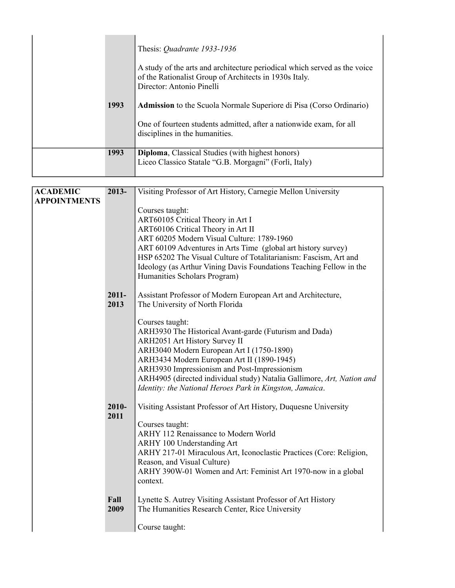| 1993 | Thesis: <i>Quadrante 1933-1936</i><br>A study of the arts and architecture periodical which served as the voice<br>of the Rationalist Group of Architects in 1930s Italy.<br>Director: Antonio Pinelli<br><b>Admission</b> to the Scuola Normale Superiore di Pisa (Corso Ordinario)<br>One of fourteen students admitted, after a nationwide exam, for all<br>disciplines in the humanities. |
|------|-----------------------------------------------------------------------------------------------------------------------------------------------------------------------------------------------------------------------------------------------------------------------------------------------------------------------------------------------------------------------------------------------|
| 1993 | <b>Diploma, Classical Studies (with highest honors)</b><br>Liceo Classico Statale "G.B. Morgagni" (Forlì, Italy)                                                                                                                                                                                                                                                                              |

| <b>ACADEMIC</b>     | $2013 -$ | Visiting Professor of Art History, Carnegie Mellon University          |
|---------------------|----------|------------------------------------------------------------------------|
| <b>APPOINTMENTS</b> |          |                                                                        |
|                     |          | Courses taught:                                                        |
|                     |          | ART60105 Critical Theory in Art I                                      |
|                     |          | ART60106 Critical Theory in Art II                                     |
|                     |          | ART 60205 Modern Visual Culture: 1789-1960                             |
|                     |          | ART 60109 Adventures in Arts Time (global art history survey)          |
|                     |          | HSP 65202 The Visual Culture of Totalitarianism: Fascism, Art and      |
|                     |          | Ideology (as Arthur Vining Davis Foundations Teaching Fellow in the    |
|                     |          | Humanities Scholars Program)                                           |
|                     |          |                                                                        |
|                     | $2011 -$ | Assistant Professor of Modern European Art and Architecture,           |
|                     | 2013     | The University of North Florida                                        |
|                     |          |                                                                        |
|                     |          | Courses taught:                                                        |
|                     |          | ARH3930 The Historical Avant-garde (Futurism and Dada)                 |
|                     |          | <b>ARH2051 Art History Survey II</b>                                   |
|                     |          | ARH3040 Modern European Art I (1750-1890)                              |
|                     |          | ARH3434 Modern European Art II (1890-1945)                             |
|                     |          | ARH3930 Impressionism and Post-Impressionism                           |
|                     |          | ARH4905 (directed individual study) Natalia Gallimore, Art, Nation and |
|                     |          | Identity: the National Heroes Park in Kingston, Jamaica.               |
|                     |          |                                                                        |
|                     | 2010-    | Visiting Assistant Professor of Art History, Duquesne University       |
|                     | 2011     |                                                                        |
|                     |          | Courses taught:                                                        |
|                     |          | ARHY 112 Renaissance to Modern World                                   |
|                     |          | ARHY 100 Understanding Art                                             |
|                     |          | ARHY 217-01 Miraculous Art, Iconoclastic Practices (Core: Religion,    |
|                     |          | Reason, and Visual Culture)                                            |
|                     |          | ARHY 390W-01 Women and Art: Feminist Art 1970-now in a global          |
|                     |          | context.                                                               |
|                     |          |                                                                        |
|                     | Fall     | Lynette S. Autrey Visiting Assistant Professor of Art History          |
|                     | 2009     | The Humanities Research Center, Rice University                        |
|                     |          |                                                                        |
|                     |          | Course taught:                                                         |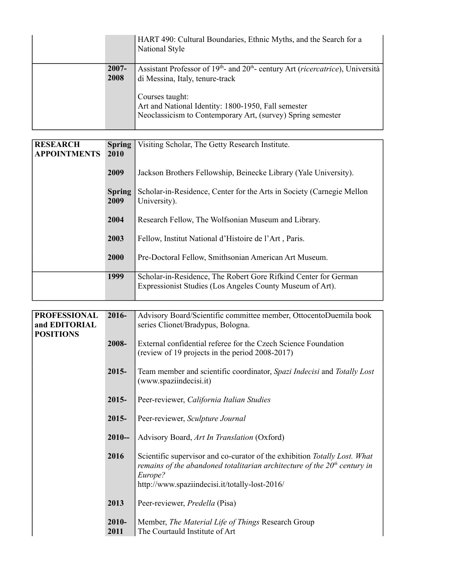|                  | HART 490: Cultural Boundaries, Ethnic Myths, and the Search for a<br>National Style                                                                   |
|------------------|-------------------------------------------------------------------------------------------------------------------------------------------------------|
| $2007 -$<br>2008 | Assistant Professor of 19 <sup>th</sup> - and 20 <sup>th</sup> - century Art ( <i>ricercatrice</i> ), Università  <br>di Messina, Italy, tenure-track |
|                  | Courses taught:<br>Art and National Identity: 1800-1950, Fall semester<br>Neoclassicism to Contemporary Art, (survey) Spring semester                 |

| <b>RESEARCH</b>     | <b>Spring</b> | Visiting Scholar, The Getty Research Institute.                        |
|---------------------|---------------|------------------------------------------------------------------------|
| <b>APPOINTMENTS</b> | 2010          |                                                                        |
|                     |               |                                                                        |
|                     | 2009          | Jackson Brothers Fellowship, Beinecke Library (Yale University).       |
|                     |               |                                                                        |
|                     | <b>Spring</b> | Scholar-in-Residence, Center for the Arts in Society (Carnegie Mellon) |
|                     | 2009          | University).                                                           |
|                     |               |                                                                        |
|                     | 2004          | Research Fellow, The Wolfsonian Museum and Library.                    |
|                     |               |                                                                        |
|                     |               |                                                                        |
|                     | 2003          | Fellow, Institut National d'Histoire de l'Art, Paris.                  |
|                     |               |                                                                        |
|                     | 2000          | Pre-Doctoral Fellow, Smithsonian American Art Museum.                  |
|                     |               |                                                                        |
|                     | 1999          | Scholar-in-Residence, The Robert Gore Rifkind Center for German        |
|                     |               |                                                                        |
|                     |               | Expressionist Studies (Los Angeles County Museum of Art).              |
|                     |               |                                                                        |

| <b>PROFESSIONAL</b> | 2016-         | Advisory Board/Scientific committee member, OttocentoDuemila book                                                                                                   |
|---------------------|---------------|---------------------------------------------------------------------------------------------------------------------------------------------------------------------|
| and EDITORIAL       |               | series Clionet/Bradypus, Bologna.                                                                                                                                   |
| <b>POSITIONS</b>    |               |                                                                                                                                                                     |
|                     | 2008-         | External confidential referee for the Czech Science Foundation                                                                                                      |
|                     |               | (review of 19 projects in the period 2008-2017)                                                                                                                     |
|                     | $2015 -$      | Team member and scientific coordinator, Spazi Indecisi and Totally Lost<br>(www.spaziindecisi.it)                                                                   |
|                     | $2015 -$      | Peer-reviewer, California Italian Studies                                                                                                                           |
|                     | $2015 -$      | Peer-reviewer, Sculpture Journal                                                                                                                                    |
|                     | $2010-$       | Advisory Board, Art In Translation (Oxford)                                                                                                                         |
|                     | 2016          | Scientific supervisor and co-curator of the exhibition Totally Lost. What<br>remains of the abandoned totalitarian architecture of the $20th$ century in<br>Europe? |
|                     |               | http://www.spaziindecisi.it/totally-lost-2016/                                                                                                                      |
|                     | 2013          | Peer-reviewer, Predella (Pisa)                                                                                                                                      |
|                     | 2010-<br>2011 | Member, <i>The Material Life of Things</i> Research Group<br>The Courtauld Institute of Art                                                                         |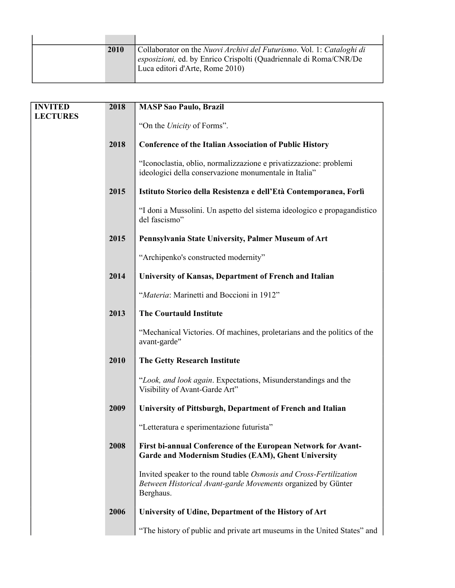| 2010 | Collaborator on the <i>Nuovi Archivi del Futurismo</i> . Vol. 1: Cataloghi di<br>esposizioni, ed. by Enrico Crispolti (Quadriennale di Roma/CNR/De<br>Luca editori d'Arte, Rome 2010) |
|------|---------------------------------------------------------------------------------------------------------------------------------------------------------------------------------------|

| <b>INVITED</b>  | 2018 | <b>MASP Sao Paulo, Brazil</b>                                                                                                                   |
|-----------------|------|-------------------------------------------------------------------------------------------------------------------------------------------------|
| <b>LECTURES</b> |      |                                                                                                                                                 |
|                 |      | "On the Unicity of Forms".                                                                                                                      |
|                 | 2018 | <b>Conference of the Italian Association of Public History</b>                                                                                  |
|                 |      | "Iconoclastia, oblio, normalizzazione e privatizzazione: problemi<br>ideologici della conservazione monumentale in Italia"                      |
|                 | 2015 | Istituto Storico della Resistenza e dell'Età Contemporanea, Forlì                                                                               |
|                 |      | "I doni a Mussolini. Un aspetto del sistema ideologico e propagandistico<br>del fascismo"                                                       |
|                 | 2015 | Pennsylvania State University, Palmer Museum of Art                                                                                             |
|                 |      | "Archipenko's constructed modernity"                                                                                                            |
|                 | 2014 | University of Kansas, Department of French and Italian                                                                                          |
|                 |      | "Materia: Marinetti and Boccioni in 1912"                                                                                                       |
|                 | 2013 | <b>The Courtauld Institute</b>                                                                                                                  |
|                 |      | "Mechanical Victories. Of machines, proletarians and the politics of the<br>avant-garde"                                                        |
|                 | 2010 | <b>The Getty Research Institute</b>                                                                                                             |
|                 |      | "Look, and look again. Expectations, Misunderstandings and the<br>Visibility of Avant-Garde Art"                                                |
|                 | 2009 | University of Pittsburgh, Department of French and Italian                                                                                      |
|                 |      | "Letteratura e sperimentazione futurista"                                                                                                       |
|                 | 2008 | First bi-annual Conference of the European Network for Avant-<br>Garde and Modernism Studies (EAM), Ghent University                            |
|                 |      | Invited speaker to the round table Osmosis and Cross-Fertilization<br>Between Historical Avant-garde Movements organized by Günter<br>Berghaus. |
|                 | 2006 | University of Udine, Department of the History of Art                                                                                           |
|                 |      | "The history of public and private art museums in the United States" and                                                                        |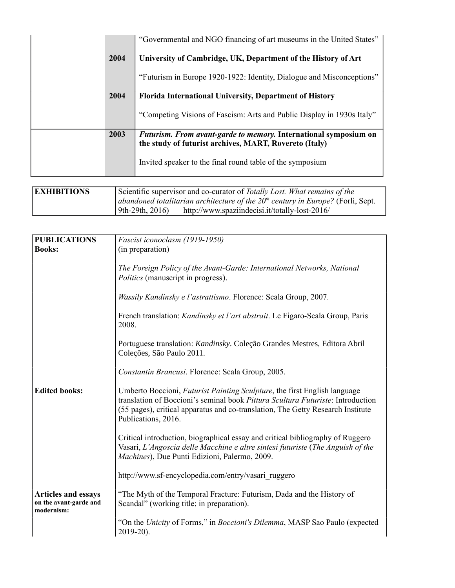|      | "Governmental and NGO financing of art museums in the United States"                                                       |
|------|----------------------------------------------------------------------------------------------------------------------------|
| 2004 | University of Cambridge, UK, Department of the History of Art                                                              |
|      | "Futurism in Europe 1920-1922: Identity, Dialogue and Misconceptions"                                                      |
| 2004 | <b>Florida International University, Department of History</b>                                                             |
|      | "Competing Visions of Fascism: Arts and Public Display in 1930s Italy"                                                     |
| 2003 | Futurism. From avant-garde to memory. International symposium on<br>the study of futurist archives, MART, Rovereto (Italy) |
|      | Invited speaker to the final round table of the symposium                                                                  |

| <b>EXHIBITIONS</b> | Scientific supervisor and co-curator of <i>Totally Lost. What remains of the</i>   |
|--------------------|------------------------------------------------------------------------------------|
|                    | abandoned totalitarian architecture of the $20th$ century in Europe? (Forli, Sept. |
|                    | $9th-29th, 2016$<br>http://www.spaziindecisi.it/totally-lost-2016/                 |

| <b>PUBLICATIONS</b>                                                | Fascist iconoclasm (1919-1950)                                                                                                                                                                                                                                         |
|--------------------------------------------------------------------|------------------------------------------------------------------------------------------------------------------------------------------------------------------------------------------------------------------------------------------------------------------------|
| <b>Books:</b>                                                      | (in preparation)                                                                                                                                                                                                                                                       |
|                                                                    |                                                                                                                                                                                                                                                                        |
|                                                                    | The Foreign Policy of the Avant-Garde: International Networks, National<br><i>Politics</i> (manuscript in progress).                                                                                                                                                   |
|                                                                    | Wassily Kandinsky e l'astrattismo. Florence: Scala Group, 2007.                                                                                                                                                                                                        |
|                                                                    | French translation: Kandinsky et l'art abstrait. Le Figaro-Scala Group, Paris<br>2008.                                                                                                                                                                                 |
|                                                                    | Portuguese translation: Kandinsky. Coleção Grandes Mestres, Editora Abril<br>Coleções, São Paulo 2011.                                                                                                                                                                 |
|                                                                    | Constantin Brancusi. Florence: Scala Group, 2005.                                                                                                                                                                                                                      |
| <b>Edited books:</b>                                               | Umberto Boccioni, Futurist Painting Sculpture, the first English language<br>translation of Boccioni's seminal book Pittura Scultura Futuriste: Introduction<br>(55 pages), critical apparatus and co-translation, The Getty Research Institute<br>Publications, 2016. |
|                                                                    | Critical introduction, biographical essay and critical bibliography of Ruggero<br>Vasari, L'Angoscia delle Macchine e altre sintesi futuriste (The Anguish of the<br>Machines), Due Punti Edizioni, Palermo, 2009.                                                     |
|                                                                    | http://www.sf-encyclopedia.com/entry/vasari ruggero                                                                                                                                                                                                                    |
| <b>Articles and essays</b><br>on the avant-garde and<br>modernism: | "The Myth of the Temporal Fracture: Futurism, Dada and the History of<br>Scandal" (working title; in preparation).                                                                                                                                                     |
|                                                                    | "On the Unicity of Forms," in Boccioni's Dilemma, MASP Sao Paulo (expected<br>2019-20).                                                                                                                                                                                |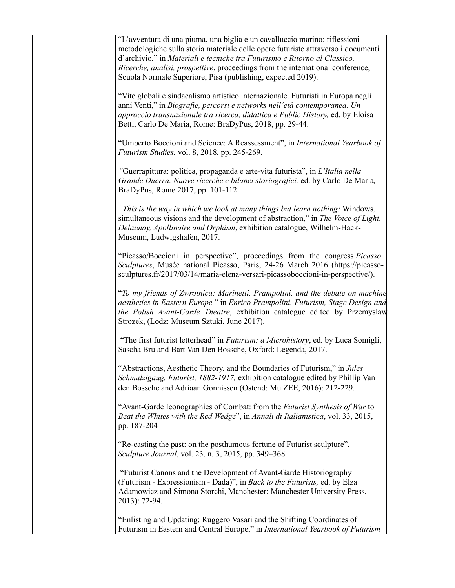"L'avventura di una piuma, una biglia e un cavalluccio marino: riflessioni metodologiche sulla storia materiale delle opere futuriste attraverso i documenti d'archivio," in *Materiali e tecniche tra Futurismo e Ritorno al Classico. Ricerche, analisi, prospettive*, proceedings from the international conference, Scuola Normale Superiore, Pisa (publishing, expected 2019).

"Vite globali e sindacalismo artistico internazionale. Futuristi in Europa negli anni Venti," in *Biografie, percorsi e networks nell'età contemporanea. Un approccio transnazionale tra ricerca, didattica e Public History,* ed. by Eloisa Betti, Carlo De Maria, Rome: BraDyPus, 2018, pp. 29-44.

"Umberto Boccioni and Science: A Reassessment", in *International Yearbook of Futurism Studies*, vol. 8, 2018, pp. 245-269.

*"*Guerrapittura: politica, propaganda e arte-vita futurista", in *L'Italia nella Grande Duerra. Nuove ricerche e bilanci storiografici,* ed. by Carlo De Maria*,*  BraDyPus, Rome 2017, pp. 101-112.

*"This is the way in which we look at many things but learn nothing:* Windows, simultaneous visions and the development of abstraction," in *The Voice of Light. Delaunay, Apollinaire and Orphism*, exhibition catalogue, Wilhelm-Hack-Museum, Ludwigshafen, 2017.

"Picasso/Boccioni in perspective", proceedings from the congress *Picasso. Sculptures*, Musée national Picasso, Paris, 24-26 March 2016 (https://picassosculptures.fr/2017/03/14/maria-elena-versari-picassoboccioni-in-perspective/).

"*To my friends of Zwrotnica: Marinetti, Prampolini, and the debate on machine aesthetics in Eastern Europe.*" in *Enrico Prampolini. Futurism, Stage Design and the Polish Avant-Garde Theatre*, exhibition catalogue edited by Przemyslaw Strozek, (Lodz: Museum Sztuki, June 2017).

 "The first futurist letterhead" in *Futurism: a Microhistory*, ed. by Luca Somigli, Sascha Bru and Bart Van Den Bossche, Oxford: Legenda, 2017.

"Abstractions, Aesthetic Theory, and the Boundaries of Futurism," in *Jules Schmalzigaug. Futurist, 1882-1917,* exhibition catalogue edited by Phillip Van den Bossche and Adriaan Gonnissen (Ostend: Mu.ZEE, 2016): 212-229.

"Avant-Garde Iconographies of Combat: from the *Futurist Synthesis of War* to *Beat the Whites with the Red Wedge*", in *Annali di Italianistica*, vol. 33, 2015, pp. 187-204

"Re-casting the past: on the posthumous fortune of Futurist sculpture", *Sculpture Journal*, vol. 23, n. 3, 2015, pp. 349–368

 "Futurist Canons and the Development of Avant-Garde Historiography (Futurism - Expressionism - Dada)", in *Back to the Futurists,* ed. by Elza Adamowicz and Simona Storchi, Manchester: Manchester University Press, 2013): 72-94.

"Enlisting and Updating: Ruggero Vasari and the Shifting Coordinates of Futurism in Eastern and Central Europe," in *International Yearbook of Futurism*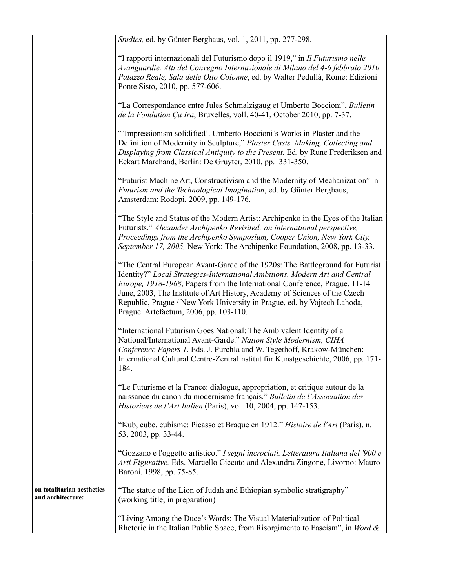|                                                 | Studies, ed. by Günter Berghaus, vol. 1, 2011, pp. 277-298.                                                                                                                                                                                                                                                                                                                                                                                    |
|-------------------------------------------------|------------------------------------------------------------------------------------------------------------------------------------------------------------------------------------------------------------------------------------------------------------------------------------------------------------------------------------------------------------------------------------------------------------------------------------------------|
|                                                 | "I rapporti internazionali del Futurismo dopo il 1919," in Il Futurismo nelle<br>Avanguardie. Atti del Convegno Internazionale di Milano del 4-6 febbraio 2010,<br>Palazzo Reale, Sala delle Otto Colonne, ed. by Walter Pedullà, Rome: Edizioni<br>Ponte Sisto, 2010, pp. 577-606.                                                                                                                                                            |
|                                                 | "La Correspondance entre Jules Schmalzigaug et Umberto Boccioni", Bulletin<br>de la Fondation Ça Ira, Bruxelles, voll. 40-41, October 2010, pp. 7-37.                                                                                                                                                                                                                                                                                          |
|                                                 | "Impressionism solidified'. Umberto Boccioni's Works in Plaster and the<br>Definition of Modernity in Sculpture," Plaster Casts. Making, Collecting and<br>Displaying from Classical Antiquity to the Present, Ed. by Rune Frederiksen and<br>Eckart Marchand, Berlin: De Gruyter, 2010, pp. 331-350.                                                                                                                                          |
|                                                 | "Futurist Machine Art, Constructivism and the Modernity of Mechanization" in<br>Futurism and the Technological Imagination, ed. by Günter Berghaus,<br>Amsterdam: Rodopi, 2009, pp. 149-176.                                                                                                                                                                                                                                                   |
|                                                 | "The Style and Status of the Modern Artist: Archipenko in the Eyes of the Italian<br>Futurists." Alexander Archipenko Revisited: an international perspective,<br>Proceedings from the Archipenko Symposium, Cooper Union, New York City,<br>September 17, 2005, New York: The Archipenko Foundation, 2008, pp. 13-33.                                                                                                                         |
|                                                 | "The Central European Avant-Garde of the 1920s: The Battleground for Futurist<br>Identity?" Local Strategies-International Ambitions. Modern Art and Central<br>Europe, 1918-1968, Papers from the International Conference, Prague, 11-14<br>June, 2003, The Institute of Art History, Academy of Sciences of the Czech<br>Republic, Prague / New York University in Prague, ed. by Vojtech Lahoda,<br>Prague: Artefactum, 2006, pp. 103-110. |
|                                                 | "International Futurism Goes National: The Ambivalent Identity of a<br>National/International Avant-Garde." Nation Style Modernism, CIHA<br>Conference Papers 1. Eds. J. Purchla and W. Tegethoff, Krakow-München:<br>International Cultural Centre-Zentralinstitut für Kunstgeschichte, 2006, pp. 171-<br>184.                                                                                                                                |
|                                                 | "Le Futurisme et la France: dialogue, appropriation, et critique autour de la<br>naissance du canon du modernisme français." Bulletin de l'Association des<br>Historiens de l'Art Italien (Paris), vol. 10, 2004, pp. 147-153.                                                                                                                                                                                                                 |
|                                                 | "Kub, cube, cubisme: Picasso et Braque en 1912." Histoire de l'Art (Paris), n.<br>53, 2003, pp. 33-44.                                                                                                                                                                                                                                                                                                                                         |
|                                                 | "Gozzano e l'oggetto artistico." I segni incrociati. Letteratura Italiana del '900 e<br>Arti Figurative. Eds. Marcello Ciccuto and Alexandra Zingone, Livorno: Mauro<br>Baroni, 1998, pp. 75-85.                                                                                                                                                                                                                                               |
| on totalitarian aesthetics<br>and architecture: | "The statue of the Lion of Judah and Ethiopian symbolic stratigraphy"<br>(working title; in preparation)                                                                                                                                                                                                                                                                                                                                       |
|                                                 | "Living Among the Duce's Words: The Visual Materialization of Political<br>Rhetoric in the Italian Public Space, from Risorgimento to Fascism", in Word &                                                                                                                                                                                                                                                                                      |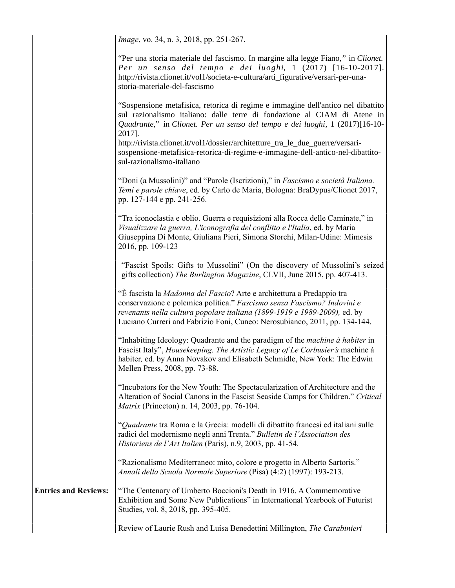|                             | Image, vo. 34, n. 3, 2018, pp. 251-267.                                                                                                                                                                                                                                                                      |
|-----------------------------|--------------------------------------------------------------------------------------------------------------------------------------------------------------------------------------------------------------------------------------------------------------------------------------------------------------|
|                             | "Per una storia materiale del fascismo. In margine alla legge Fiano," in Clionet.<br>Per un senso del tempo e dei luoghi, 1 (2017) [16-10-2017].<br>http://rivista.clionet.it/vol1/societa-e-cultura/arti_figurative/versari-per-una-<br>storia-materiale-del-fascismo                                       |
|                             | "Sospensione metafisica, retorica di regime e immagine dell'antico nel dibattito<br>sul razionalismo italiano: dalle terre di fondazione al CIAM di Atene in<br>Quadrante," in Clionet. Per un senso del tempo e dei luoghi, 1 (2017)[16-10-<br>2017].                                                       |
|                             | http://rivista.clionet.it/vol1/dossier/architetture_tra_le_due_guerre/versari-<br>sospensione-metafisica-retorica-di-regime-e-immagine-dell-antico-nel-dibattito-<br>sul-razionalismo-italiano                                                                                                               |
|                             | "Doni (a Mussolini)" and "Parole (Iscrizioni)," in Fascismo e società Italiana.<br>Temi e parole chiave, ed. by Carlo de Maria, Bologna: BraDypus/Clionet 2017,<br>pp. 127-144 e pp. 241-256.                                                                                                                |
|                             | "Tra iconoclastia e oblio. Guerra e requisizioni alla Rocca delle Caminate," in<br>Visualizzare la guerra, L'iconografia del conflitto e l'Italia, ed. by Maria<br>Giuseppina Di Monte, Giuliana Pieri, Simona Storchi, Milan-Udine: Mimesis<br>2016, pp. 109-123                                            |
|                             | "Fascist Spoils: Gifts to Mussolini" (On the discovery of Mussolini's seized<br>gifts collection) The Burlington Magazine, CLVII, June 2015, pp. 407-413.                                                                                                                                                    |
|                             | "È fascista la Madonna del Fascio? Arte e architettura a Predappio tra<br>conservazione e polemica politica." Fascismo senza Fascismo? Indovini e<br>revenants nella cultura popolare italiana (1899-1919 e 1989-2009), ed. by<br>Luciano Curreri and Fabrizio Foni, Cuneo: Nerosubianco, 2011, pp. 134-144. |
|                             | "Inhabiting Ideology: Quadrante and the paradigm of the <i>machine à habiter</i> in<br>Fascist Italy", Housekeeping. The Artistic Legacy of Le Corbusier's machine à<br>habiter, ed. by Anna Novakov and Elisabeth Schmidle, New York: The Edwin<br>Mellen Press, 2008, pp. 73-88.                           |
|                             | "Incubators for the New Youth: The Spectacularization of Architecture and the<br>Alteration of Social Canons in the Fascist Seaside Camps for Children." Critical<br><i>Matrix</i> (Princeton) n. 14, 2003, pp. 76-104.                                                                                      |
|                             | "Quadrante tra Roma e la Grecia: modelli di dibattito francesi ed italiani sulle<br>radici del modernismo negli anni Trenta." Bulletin de l'Association des<br>Historiens de l'Art Italien (Paris), n.9, 2003, pp. 41-54.                                                                                    |
|                             | "Razionalismo Mediterraneo: mito, colore e progetto in Alberto Sartoris."<br>Annali della Scuola Normale Superiore (Pisa) (4:2) (1997): 193-213.                                                                                                                                                             |
| <b>Entries and Reviews:</b> | "The Centenary of Umberto Boccioni's Death in 1916. A Commemorative<br>Exhibition and Some New Publications" in International Yearbook of Futurist<br>Studies, vol. 8, 2018, pp. 395-405.                                                                                                                    |
|                             | Review of Laurie Rush and Luisa Benedettini Millington, The Carabinieri                                                                                                                                                                                                                                      |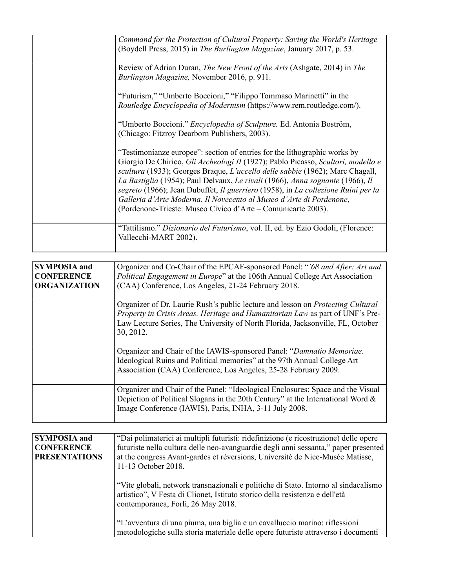| Command for the Protection of Cultural Property: Saving the World's Heritage<br>(Boydell Press, 2015) in The Burlington Magazine, January 2017, p. 53.                                                                                                                                                                                                                                                                                                                                                                                                      |
|-------------------------------------------------------------------------------------------------------------------------------------------------------------------------------------------------------------------------------------------------------------------------------------------------------------------------------------------------------------------------------------------------------------------------------------------------------------------------------------------------------------------------------------------------------------|
| Review of Adrian Duran, <i>The New Front of the Arts</i> (Ashgate, 2014) in <i>The</i><br>Burlington Magazine, November 2016, p. 911.                                                                                                                                                                                                                                                                                                                                                                                                                       |
| "Futurism," "Umberto Boccioni," "Filippo Tommaso Marinetti" in the<br>Routledge Encyclopedia of Modernism (https://www.rem.routledge.com/).                                                                                                                                                                                                                                                                                                                                                                                                                 |
| "Umberto Boccioni." Encyclopedia of Sculpture. Ed. Antonia Boström,<br>(Chicago: Fitzroy Dearborn Publishers, 2003).                                                                                                                                                                                                                                                                                                                                                                                                                                        |
| "Testimonianze europee": section of entries for the lithographic works by<br>Giorgio De Chirico, Gli Archeologi II (1927); Pablo Picasso, Scultori, modello e<br>scultura (1933); Georges Braque, L'uccello delle sabbie (1962); Marc Chagall,<br>La Bastiglia (1954); Paul Delvaux, Le rivali (1966), Anna sognante (1966), Il<br>segreto (1966); Jean Dubuffet, Il guerriero (1958), in La collezione Ruini per la<br>Galleria d'Arte Moderna. Il Novecento al Museo d'Arte di Pordenone,<br>(Pordenone-Trieste: Museo Civico d'Arte – Comunicarte 2003). |
| "Tattilismo." Dizionario del Futurismo, vol. II, ed. by Ezio Godoli, (Florence:<br>Vallecchi-MART 2002).                                                                                                                                                                                                                                                                                                                                                                                                                                                    |

| <b>SYMPOSIA</b> and | Organizer and Co-Chair of the EPCAF-sponsored Panel: "'68 and After: Art and                                                                                                                                                                                           |
|---------------------|------------------------------------------------------------------------------------------------------------------------------------------------------------------------------------------------------------------------------------------------------------------------|
| <b>CONFERENCE</b>   | Political Engagement in Europe" at the 106th Annual College Art Association                                                                                                                                                                                            |
| <b>ORGANIZATION</b> | (CAA) Conference, Los Angeles, 21-24 February 2018.                                                                                                                                                                                                                    |
|                     | Organizer of Dr. Laurie Rush's public lecture and lesson on <i>Protecting Cultural</i><br>Property in Crisis Areas. Heritage and Humanitarian Law as part of UNF's Pre-<br>Law Lecture Series, The University of North Florida, Jacksonville, FL, October<br>30, 2012. |
|                     | Organizer and Chair of the IAWIS-sponsored Panel: "Damnatio Memoriae.<br>Ideological Ruins and Political memories" at the 97th Annual College Art<br>Association (CAA) Conference, Los Angeles, 25-28 February 2009.                                                   |
|                     | Organizer and Chair of the Panel: "Ideological Enclosures: Space and the Visual<br>Depiction of Political Slogans in the 20th Century" at the International Word $\&$<br>Image Conference (IAWIS), Paris, INHA, 3-11 July 2008.                                        |

| <b>SYMPOSIA</b> and  | "Dai polimaterici ai multipli futuristi: ridefinizione (e ricostruzione) delle opere |
|----------------------|--------------------------------------------------------------------------------------|
| <b>CONFERENCE</b>    | futuriste nella cultura delle neo-avanguardie degli anni sessanta," paper presented  |
| <b>PRESENTATIONS</b> | at the congress Avant-gardes et réversions, Université de Nice-Musée Matisse,        |
|                      | 11-13 October 2018.                                                                  |
|                      |                                                                                      |
|                      | "Vite globali, network transnazionali e politiche di Stato. Intorno al sindacalismo  |
|                      | artistico", V Festa di Clionet, Istituto storico della resistenza e dell'età         |
|                      | contemporanea, Forlì, 26 May 2018.                                                   |
|                      |                                                                                      |
|                      | "L'avventura di una piuma, una biglia e un cavalluccio marino: riflessioni           |
|                      | metodologiche sulla storia materiale delle opere futuriste attraverso i documenti    |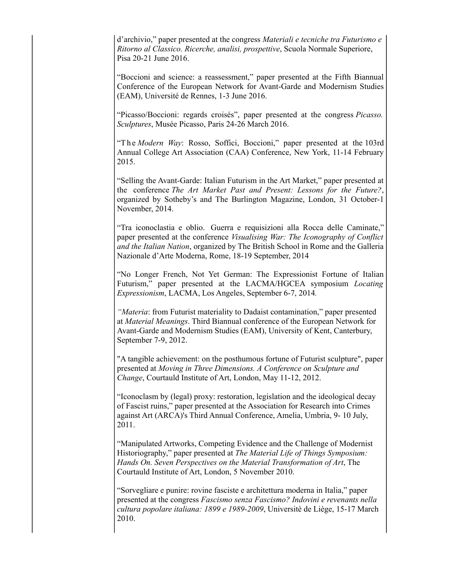d'archivio," paper presented at the congress *Materiali e tecniche tra Futurismo e Ritorno al Classico. Ricerche, analisi, prospettive*, Scuola Normale Superiore, Pisa 20-21 June 2016.

"Boccioni and science: a reassessment," paper presented at the Fifth Biannual Conference of the European Network for Avant-Garde and Modernism Studies (EAM), Université de Rennes, 1-3 June 2016.

"Picasso/Boccioni: regards croisés", paper presented at the congress *Picasso. Sculptures*, Musée Picasso, Paris 24-26 March 2016.

"The *Modern Way*: Rosso, Soffici, Boccioni," paper presented at the 103rd Annual College Art Association (CAA) Conference, New York, 11-14 February 2015.

"Selling the Avant-Garde: Italian Futurism in the Art Market," paper presented at the conference *The Art Market Past and Present: Lessons for the Future?*, organized by Sotheby's and The Burlington Magazine, London, 31 October-1 November, 2014.

"Tra iconoclastia e oblio. Guerra e requisizioni alla Rocca delle Caminate," paper presented at the conference *Visualising War: The Iconography of Conflict and the Italian Nation*, organized by The British School in Rome and the Galleria Nazionale d'Arte Moderna, Rome, 18-19 September, 2014

"No Longer French, Not Yet German: The Expressionist Fortune of Italian Futurism," paper presented at the LACMA/HGCEA symposium *Locating Expressionism*, LACMA, Los Angeles, September 6-7, 2014*.*

*"Materia*: from Futurist materiality to Dadaist contamination," paper presented at *Material Meanings*. Third Biannual conference of the European Network for Avant-Garde and Modernism Studies (EAM), University of Kent, Canterbury, September 7-9, 2012.

"A tangible achievement: on the posthumous fortune of Futurist sculpture", paper presented at *Moving in Three Dimensions. A Conference on Sculpture and Change*, Courtauld Institute of Art, London, May 11-12, 2012.

"Iconoclasm by (legal) proxy: restoration, legislation and the ideological decay of Fascist ruins," paper presented at the Association for Research into Crimes against Art (ARCA)'s Third Annual Conference, Amelia, Umbria, 9- 10 July, 2011.

"Manipulated Artworks, Competing Evidence and the Challenge of Modernist Historiography," paper presented at *The Material Life of Things Symposium: Hands On. Seven Perspectives on the Material Transformation of Art*, The Courtauld Institute of Art, London, 5 November 2010.

"Sorvegliare e punire: rovine fasciste e architettura moderna in Italia," paper presented at the congress *Fascismo senza Fascismo? Indovini e revenants nella cultura popolare italiana: 1899 e 1989-2009*, Universitè de Liège, 15-17 March 2010.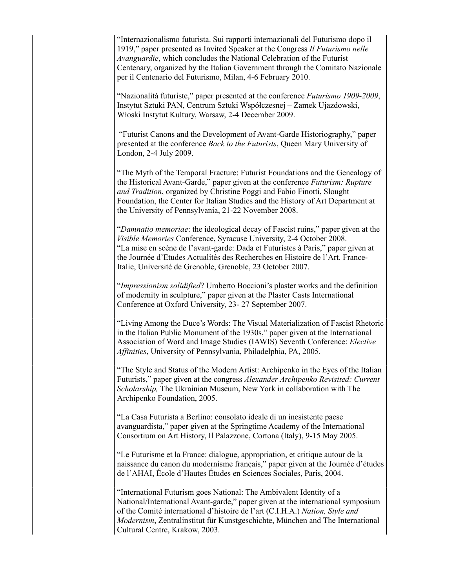"Internazionalismo futurista. Sui rapporti internazionali del Futurismo dopo il 1919," paper presented as Invited Speaker at the Congress *Il Futurismo nelle Avanguardie*, which concludes the National Celebration of the Futurist Centenary, organized by the Italian Government through the Comitato Nazionale per il Centenario del Futurismo, Milan, 4-6 February 2010.

"Nazionalità futuriste," paper presented at the conference *Futurismo 1909-2009*, Instytut Sztuki PAN, Centrum Sztuki Współczesnej – Zamek Ujazdowski, Włoski Instytut Kultury, Warsaw, 2-4 December 2009.

 "Futurist Canons and the Development of Avant-Garde Historiography," paper presented at the conference *Back to the Futurists*, Queen Mary University of London, 2-4 July 2009.

"The Myth of the Temporal Fracture: Futurist Foundations and the Genealogy of the Historical Avant-Garde," paper given at the conference *Futurism: Rupture and Tradition*, organized by Christine Poggi and Fabio Finotti, Slought Foundation, the Center for Italian Studies and the History of Art Department at the University of Pennsylvania, 21-22 November 2008.

"*Damnatio memoriae*: the ideological decay of Fascist ruins," paper given at the *Visible Memories* Conference, Syracuse University, 2-4 October 2008. "La mise en scène de l'avant-garde: Dada et Futuristes à Paris," paper given at the Journée d'Etudes Actualités des Recherches en Histoire de l'Art. France-Italie, Université de Grenoble, Grenoble, 23 October 2007.

"*Impressionism solidified*? Umberto Boccioni's plaster works and the definition of modernity in sculpture," paper given at the Plaster Casts International Conference at Oxford University, 23- 27 September 2007.

"Living Among the Duce's Words: The Visual Materialization of Fascist Rhetoric in the Italian Public Monument of the 1930s," paper given at the International Association of Word and Image Studies (IAWIS) Seventh Conference: *Elective Affinities*, University of Pennsylvania, Philadelphia, PA, 2005.

"The Style and Status of the Modern Artist: Archipenko in the Eyes of the Italian Futurists," paper given at the congress *Alexander Archipenko Revisited: Current Scholarship,* The Ukrainian Museum, New York in collaboration with The Archipenko Foundation, 2005.

"La Casa Futurista a Berlino: consolato ideale di un inesistente paese avanguardista," paper given at the Springtime Academy of the International Consortium on Art History, Il Palazzone, Cortona (Italy), 9-15 May 2005.

"Le Futurisme et la France: dialogue, appropriation, et critique autour de la naissance du canon du modernisme français," paper given at the Journée d'études de l'AHAI, École d'Hautes Études en Sciences Sociales, Paris, 2004.

"International Futurism goes National: The Ambivalent Identity of a National/International Avant-garde," paper given at the international symposium of the Comité international d'histoire de l'art (C.I.H.A.) *Nation, Style and Modernism*, Zentralinstitut für Kunstgeschichte, München and The International Cultural Centre, Krakow, 2003.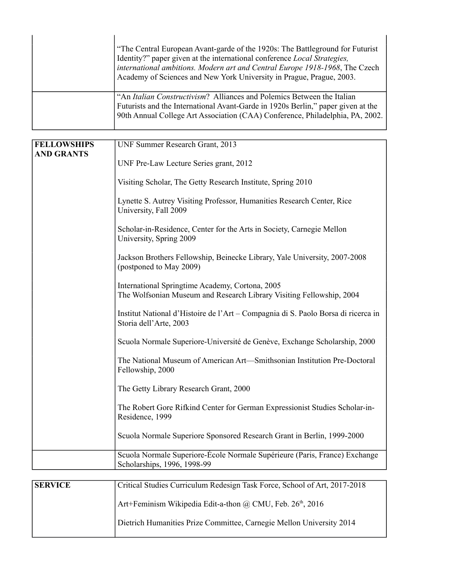| "The Central European Avant-garde of the 1920s: The Battleground for Futurist<br>Identity?" paper given at the international conference <i>Local Strategies</i> ,<br>international ambitions. Modern art and Central Europe 1918-1968, The Czech<br>Academy of Sciences and New York University in Prague, Prague, 2003. |
|--------------------------------------------------------------------------------------------------------------------------------------------------------------------------------------------------------------------------------------------------------------------------------------------------------------------------|
| "An Italian Constructivism? Alliances and Polemics Between the Italian<br>Futurists and the International Avant-Garde in 1920s Berlin," paper given at the<br>90th Annual College Art Association (CAA) Conference, Philadelphia, PA, 2002.                                                                              |

| <b>FELLOWSHIPS</b> | UNF Summer Research Grant, 2013                                                                                         |
|--------------------|-------------------------------------------------------------------------------------------------------------------------|
| <b>AND GRANTS</b>  | UNF Pre-Law Lecture Series grant, 2012                                                                                  |
|                    | Visiting Scholar, The Getty Research Institute, Spring 2010                                                             |
|                    | Lynette S. Autrey Visiting Professor, Humanities Research Center, Rice<br>University, Fall 2009                         |
|                    | Scholar-in-Residence, Center for the Arts in Society, Carnegie Mellon<br>University, Spring 2009                        |
|                    | Jackson Brothers Fellowship, Beinecke Library, Yale University, 2007-2008<br>(postponed to May 2009)                    |
|                    | International Springtime Academy, Cortona, 2005<br>The Wolfsonian Museum and Research Library Visiting Fellowship, 2004 |
|                    | Institut National d'Histoire de l'Art – Compagnia di S. Paolo Borsa di ricerca in<br>Storia dell'Arte, 2003             |
|                    | Scuola Normale Superiore-Université de Genève, Exchange Scholarship, 2000                                               |
|                    | The National Museum of American Art—Smithsonian Institution Pre-Doctoral<br>Fellowship, 2000                            |
|                    | The Getty Library Research Grant, 2000                                                                                  |
|                    | The Robert Gore Rifkind Center for German Expressionist Studies Scholar-in-<br>Residence, 1999                          |
|                    | Scuola Normale Superiore Sponsored Research Grant in Berlin, 1999-2000                                                  |
|                    | Scuola Normale Superiore-École Normale Supérieure (Paris, France) Exchange<br>Scholarships, 1996, 1998-99               |

| <b>SERVICE</b> | Critical Studies Curriculum Redesign Task Force, School of Art, 2017-2018 |
|----------------|---------------------------------------------------------------------------|
|                | Art+Feminism Wikipedia Edit-a-thon @ CMU, Feb. 26 <sup>th</sup> , 2016    |
|                | Dietrich Humanities Prize Committee, Carnegie Mellon University 2014      |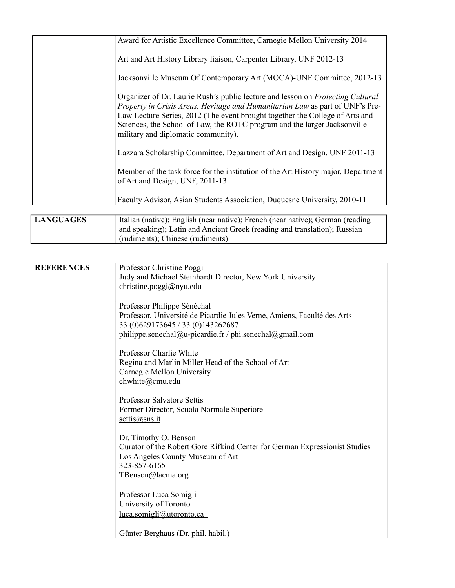|                  | Award for Artistic Excellence Committee, Carnegie Mellon University 2014                                                                                                                                                                                                                                                                                                    |
|------------------|-----------------------------------------------------------------------------------------------------------------------------------------------------------------------------------------------------------------------------------------------------------------------------------------------------------------------------------------------------------------------------|
|                  | Art and Art History Library liaison, Carpenter Library, UNF 2012-13                                                                                                                                                                                                                                                                                                         |
|                  | Jacksonville Museum Of Contemporary Art (MOCA)-UNF Committee, 2012-13                                                                                                                                                                                                                                                                                                       |
|                  | Organizer of Dr. Laurie Rush's public lecture and lesson on <i>Protecting Cultural</i><br>Property in Crisis Areas. Heritage and Humanitarian Law as part of UNF's Pre-<br>Law Lecture Series, 2012 (The event brought together the College of Arts and<br>Sciences, the School of Law, the ROTC program and the larger Jacksonville<br>military and diplomatic community). |
|                  | Lazzara Scholarship Committee, Department of Art and Design, UNF 2011-13                                                                                                                                                                                                                                                                                                    |
|                  | Member of the task force for the institution of the Art History major, Department<br>of Art and Design, UNF, 2011-13                                                                                                                                                                                                                                                        |
|                  | Faculty Advisor, Asian Students Association, Duquesne University, 2010-11                                                                                                                                                                                                                                                                                                   |
|                  |                                                                                                                                                                                                                                                                                                                                                                             |
| <b>LANGUAGES</b> | Italian (native); English (near native); French (near native); German (reading                                                                                                                                                                                                                                                                                              |

| and speaking); Latin and Ancient Greek (reading and translation); Russian<br>(rudiments); Chinese (rudiments) |
|---------------------------------------------------------------------------------------------------------------|
|                                                                                                               |

| <b>REFERENCES</b> | Professor Christine Poggi                                                  |
|-------------------|----------------------------------------------------------------------------|
|                   | Judy and Michael Steinhardt Director, New York University                  |
|                   | christine.poggi@nyu.edu                                                    |
|                   |                                                                            |
|                   | Professor Philippe Sénéchal                                                |
|                   |                                                                            |
|                   | Professor, Université de Picardie Jules Verne, Amiens, Faculté des Arts    |
|                   | 33 (0)629173645 / 33 (0)143262687                                          |
|                   | philippe.senechal@u-picardie.fr / phi.senechal@gmail.com                   |
|                   |                                                                            |
|                   | Professor Charlie White                                                    |
|                   | Regina and Marlin Miller Head of the School of Art                         |
|                   | Carnegie Mellon University                                                 |
|                   | chwhite@cmu.edu                                                            |
|                   |                                                                            |
|                   |                                                                            |
|                   | <b>Professor Salvatore Settis</b>                                          |
|                   | Former Director, Scuola Normale Superiore                                  |
|                   | settis $(a)$ sns.it                                                        |
|                   |                                                                            |
|                   | Dr. Timothy O. Benson                                                      |
|                   | Curator of the Robert Gore Rifkind Center for German Expressionist Studies |
|                   | Los Angeles County Museum of Art                                           |
|                   | 323-857-6165                                                               |
|                   |                                                                            |
|                   | TBenson@lacma.org                                                          |
|                   |                                                                            |
|                   | Professor Luca Somigli                                                     |
|                   | University of Toronto                                                      |
|                   | luca.somigli@utoronto.ca                                                   |
|                   |                                                                            |
|                   |                                                                            |
|                   | Günter Berghaus (Dr. phil. habil.)                                         |
|                   |                                                                            |